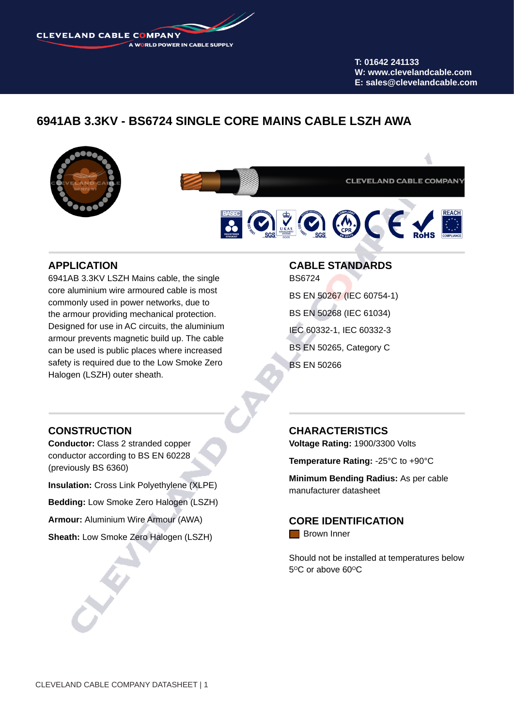**CLEVELAND CABLE COMPANY** A WORLD POWER IN CABLE SUPPLY

> **T: 01642 241133 W: www.clevelandcable.com E: sales@clevelandcable.com**

# **6941AB 3.3KV - BS6724 SINGLE CORE MAINS CABLE LSZH AWA**



**CLEVELAND CABLE COMPANY** 

# $\odot$  20  $\odot$  (  $\in$  )

## **APPLICATION**

6941AB 3.3KV LSZH Mains cable, the single core aluminium wire armoured cable is most commonly used in power networks, due to the armour providing mechanical protection. Designed for use in AC circuits, the aluminium armour prevents magnetic build up. The cable can be used is public places where increased safety is required due to the Low Smoke Zero Halogen (LSZH) outer sheath.

## **CABLE STANDARDS** BS6724

BS EN 50267 (IEC 60754-1) BS EN 50268 (IEC 61034) IEC 60332-1, IEC 60332-3 BS EN 50265, Category C BS EN 50266

## **CONSTRUCTION**

**Conductor:** Class 2 stranded copper conductor according to BS EN 60228 (previously BS 6360)

**Insulation:** Cross Link Polyethylene (XLPE)

**Bedding:** Low Smoke Zero Halogen (LSZH)

**Armour:** Aluminium Wire Armour (AWA)

**Sheath:** Low Smoke Zero Halogen (LSZH)

## **CHARACTERISTICS**

**Voltage Rating:** 1900/3300 Volts

**Temperature Rating:** -25°C to +90°C

**Minimum Bending Radius:** As per cable manufacturer datasheet

**CORE IDENTIFICATION Brown Inner** 

Should not be installed at temperatures below 5°C or above 60°C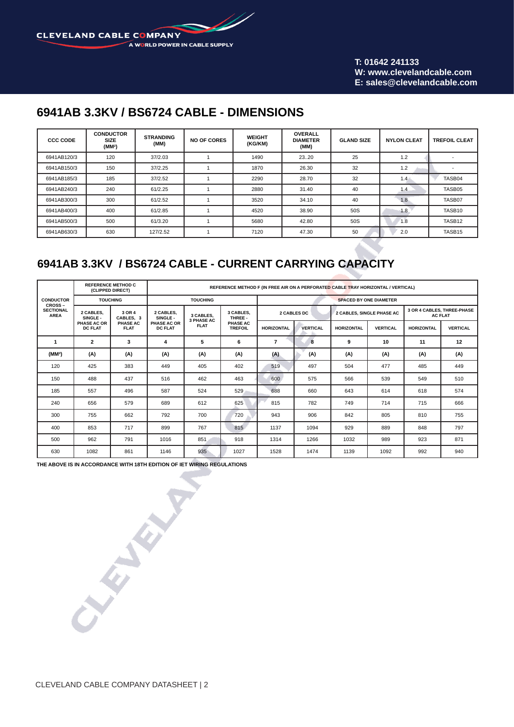M **CLEVELAND CABLE COMPANY** A WORLD POWER IN CABLE SUPPLY

> **T: 01642 241133 W: www.clevelandcable.com E: sales@clevelandcable.com**

# **6941AB 3.3KV / BS6724 CABLE - DIMENSIONS**

| <b>CCC CODE</b> | <b>CONDUCTOR</b><br><b>SIZE</b><br>(MM <sup>2</sup> ) | <b>STRANDING</b><br>(MM) | <b>NO OF CORES</b> | <b>WEIGHT</b><br>(KG/KM) | <b>OVERALL</b><br><b>DIAMETER</b><br>(MM) | <b>GLAND SIZE</b> | <b>NYLON CLEAT</b> | <b>TREFOIL CLEAT</b> |  |
|-----------------|-------------------------------------------------------|--------------------------|--------------------|--------------------------|-------------------------------------------|-------------------|--------------------|----------------------|--|
| 6941AB120/3     | 120                                                   | 37/2.03                  |                    | 1490                     | 23.20                                     | 25                | 1.2                |                      |  |
| 6941AB150/3     | 150                                                   | 37/2.25                  |                    | 1870                     | 26.30                                     | 32                | 1.2                |                      |  |
| 6941AB185/3     | 185                                                   | 37/2.52                  |                    | 2290                     | 28.70                                     | 32                | 1.4                | TASB04               |  |
| 6941AB240/3     | 240                                                   | 61/2.25                  |                    | 2880                     | 31.40                                     | 40                | 1.4                | TASB05               |  |
| 6941AB300/3     | 300                                                   | 61/2.52                  |                    | 3520                     | 34.10                                     | 40                | 1.8                | TASB07               |  |
| 6941AB400/3     | 400                                                   | 61/2.85                  |                    | 4520                     | 38.90                                     | 50S               | 1.8                | TASB10               |  |
| 6941AB500/3     | 500                                                   | 61/3.20                  |                    | 5680                     | 42.80                                     | 50S               | 1.8                | TASB12               |  |
| 6941AB630/3     | 630                                                   | 127/2.52                 |                    | 7120                     | 47.30                                     | 50                | 2.0                | TASB15               |  |

# **6941AB 3.3KV / BS6724 CABLE - CURRENT CARRYING CAPACITY**

| <b>CONDUCTOR</b><br><b>CROSS-</b><br><b>SECTIONAL</b><br><b>AREA</b> | <b>REFERENCE METHOD C</b><br>(CLIPPED DIRECT) |                                                | REFERENCE METHOD F (IN FREE AIR ON A PERFORATED CABLE TRAY HORIZONTAL / VERTICAL) |                                               |                                                    |                               |                 |                   |                           |                                              |                 |  |  |  |
|----------------------------------------------------------------------|-----------------------------------------------|------------------------------------------------|-----------------------------------------------------------------------------------|-----------------------------------------------|----------------------------------------------------|-------------------------------|-----------------|-------------------|---------------------------|----------------------------------------------|-----------------|--|--|--|
|                                                                      |                                               | <b>TOUCHING</b>                                |                                                                                   | <b>TOUCHING</b>                               |                                                    | <b>SPACED BY ONE DIAMETER</b> |                 |                   |                           |                                              |                 |  |  |  |
|                                                                      | 2 CABLES.<br>SINGLE-                          | 3 OR 4<br>CABLES. 3<br>PHASE AC<br><b>FLAT</b> | 2 CABLES.<br>SINGLE-<br>PHASE AC OR<br><b>DC FLAT</b>                             | 3 CABLES,<br><b>3 PHASE AC</b><br><b>FLAT</b> | 3 CABLES,<br>THREE -<br>PHASE AC<br><b>TREFOIL</b> |                               | 2 CABLES DC     |                   | 2 CABLES, SINGLE PHASE AC | 3 OR 4 CABLES, THREE-PHASE<br><b>AC FLAT</b> |                 |  |  |  |
|                                                                      | PHASE AC OR<br><b>DC FLAT</b>                 |                                                |                                                                                   |                                               |                                                    | <b>HORIZONTAL</b>             | <b>VERTICAL</b> | <b>HORIZONTAL</b> | <b>VERTICAL</b>           | <b>HORIZONTAL</b>                            | <b>VERTICAL</b> |  |  |  |
| 1                                                                    | $\overline{2}$                                | 3                                              | 4                                                                                 | 5                                             | 6                                                  | $\overline{7}$                | 8               | 9                 | 10                        | 11                                           | 12              |  |  |  |
| (MM <sup>2</sup> )                                                   | (A)                                           | (A)                                            | (A)                                                                               | (A)                                           | (A)                                                | (A)                           | (A)             | (A)               | (A)                       | (A)                                          | (A)             |  |  |  |
| 120                                                                  | 425                                           | 383                                            | 449                                                                               | 405                                           | 402                                                | 519                           | 497             | 504               | 477                       | 485                                          | 449             |  |  |  |
| 150                                                                  | 488                                           | 437                                            | 516                                                                               | 462                                           | 463                                                | 600                           | 575             | 566               | 539                       | 549                                          | 510             |  |  |  |
| 185                                                                  | 557                                           | 496                                            | 587                                                                               | 524                                           | 529                                                | 688                           | 660             | 643               | 614                       | 618                                          | 574             |  |  |  |
| 240                                                                  | 656                                           | 579                                            | 689                                                                               | 612                                           | 625                                                | 815                           | 782             | 749               | 714                       | 715                                          | 666             |  |  |  |
| 300                                                                  | 755                                           | 662                                            | 792                                                                               | 700                                           | 720                                                | 943                           | 906             | 842               | 805                       | 810                                          | 755             |  |  |  |
| 400                                                                  | 853                                           | 717                                            | 899                                                                               | 767                                           | 815                                                | 1137                          | 1094            | 929               | 889                       | 848                                          | 797             |  |  |  |
| 500                                                                  | 962                                           | 791                                            | 1016                                                                              | 851                                           | 918                                                | 1314                          | 1266            | 1032              | 989                       | 923                                          | 871             |  |  |  |
| 630                                                                  | 1082                                          | 861                                            | 1146                                                                              | 935                                           | 1027                                               | 1528                          | 1474            | 1139              | 1092                      | 992                                          | 940             |  |  |  |

**THE ABOVE IS IN ACCORDANCE WITH 18TH EDITION OF IET WIRING REGULATIONS**

**CALLANY**